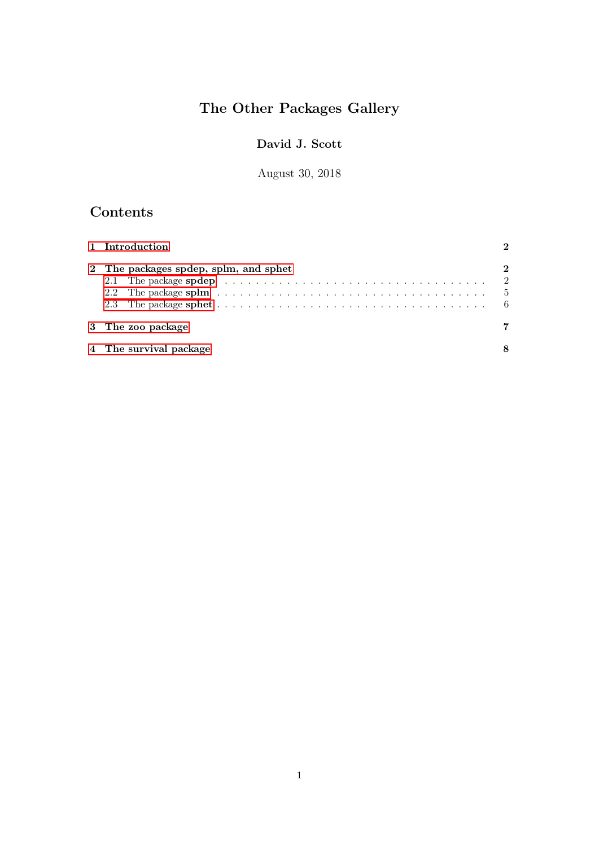# The Other Packages Gallery

## David J. Scott

August 30, 2018

# Contents

| 1 Introduction                                                                                                                                         |             |
|--------------------------------------------------------------------------------------------------------------------------------------------------------|-------------|
| 2 The packages spdep, splm, and sphet<br>2.1 The package spdep $\ldots \ldots \ldots \ldots \ldots \ldots \ldots \ldots \ldots \ldots \ldots \ldots 2$ | $\mathbf 2$ |
| 3 The zoo package                                                                                                                                      |             |
| 4 The survival package                                                                                                                                 |             |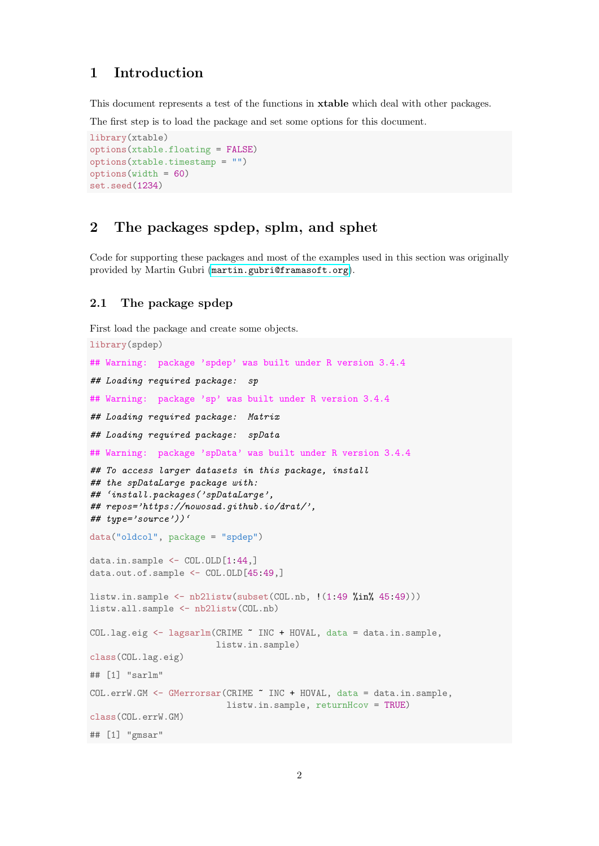## <span id="page-1-0"></span>1 Introduction

This document represents a test of the functions in xtable which deal with other packages.

The first step is to load the package and set some options for this document.

```
library(xtable)
options(xtable.floating = FALSE)
options(xtable.timestamp = "")
options(width = 60)
set.seed(1234)
```
## <span id="page-1-1"></span>2 The packages spdep, splm, and sphet

Code for supporting these packages and most of the examples used in this section was originally provided by Martin Gubri (<martin.gubri@framasoft.org>).

#### <span id="page-1-2"></span>2.1 The package spdep

```
First load the package and create some objects.
```

```
library(spdep)
## Warning: package 'spdep' was built under R version 3.4.4
## Loading required package: sp
## Warning: package 'sp' was built under R version 3.4.4
## Loading required package: Matrix
## Loading required package: spData
## Warning: package 'spData' was built under R version 3.4.4
## To access larger datasets in this package, install
## the spDataLarge package with:
## 'install.packages('spDataLarge',
## repos='https://nowosad.github.io/drat/',
## type='source'))'
data("oldcol", package = "spdep")
data.in.sample \leq COL.OLD[1:44,]data.out.of.sample <- COL.OLD[45:49,]
listw.in.sample \leftarrow nb2listw(subset(COL.nb, !(1:49 \text{ %in\textless#}45:49)))listw.all.sample <- nb2listw(COL.nb)
COL.lag.eig <- lagsarlm(CRIME ~ INC + HOVAL, data = data.in.sample,
                        listw.in.sample)
class(COL.lag.eig)
## [1] "sarlm"
COL.errW.GM <- GMerrorsar(CRIME ~ INC + HOVAL, data = data.in.sample,
                          listw.in.sample, returnHcov = TRUE)
class(COL.errW.GM)
## [1] "gmsar"
```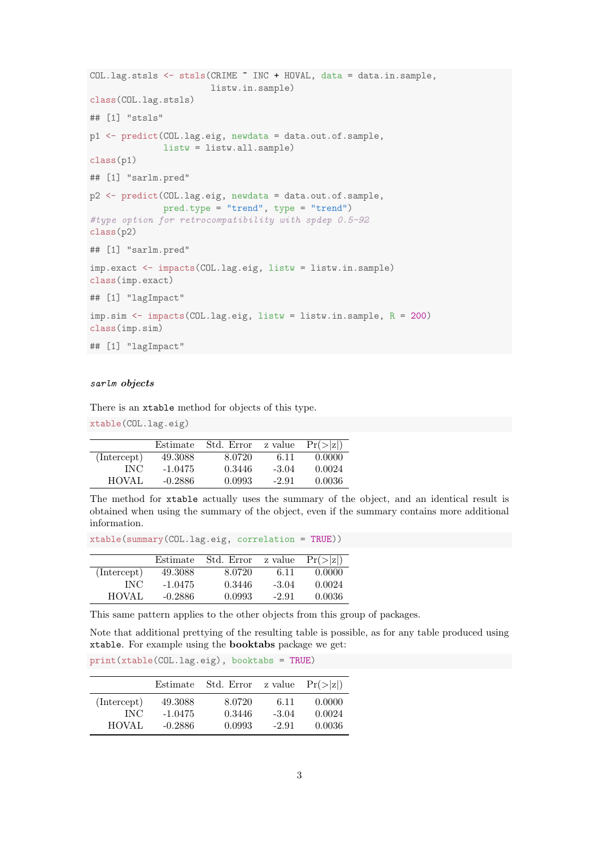```
COL.lag.stsls <- stsls(CRIME ~ INC + HOVAL, data = data.in.sample,
                       listw.in.sample)
class(COL.lag.stsls)
## [1] "stsls"
p1 <- predict(COL.lag.eig, newdata = data.out.of.sample,
              listw = listw.all.sample)
class(p1)
## [1] "sarlm.pred"
p2 <- predict(COL.lag.eig, newdata = data.out.of.sample,
              pred.type = "trend", type = "trend")
#type option for retrocompatibility with spdep 0.5-92
class(p2)
## [1] "sarlm.pred"
imp.exact <- impacts(COL.lag.eig, listw = listw.in.sample)
class(imp.exact)
## [1] "lagImpact"
imp.sim <- impacts(COL.lag.eig, listw = listw.in.sample, R = 200)
class(imp.sim)
## [1] "lagImpact"
```
#### sarlm objects

There is an xtable method for objects of this type.

xtable(COL.lag.eig)

|              | Estimate  | Std. Error | z value | $Pr(>\vert z \vert)$ |
|--------------|-----------|------------|---------|----------------------|
| (Intercept)  | 49.3088   | 8.0720     | 6.11    | 0.0000               |
| INC.         | $-1.0475$ | 0.3446     | $-3.04$ | 0.0024               |
| <b>HOVAL</b> | $-0.2886$ | 0.0993     | $-2.91$ | 0.0036               |

The method for xtable actually uses the summary of the object, and an identical result is obtained when using the summary of the object, even if the summary contains more additional information.

xtable(summary(COL.lag.eig, correlation = TRUE))

|             | Estimate  | Std. Error | z value | $Pr(>\vert z \vert)$ |
|-------------|-----------|------------|---------|----------------------|
| (Intercept) | 49.3088   | 8.0720     | 6.11    | 0.0000               |
| INC         | $-1.0475$ | 0.3446     | $-3.04$ | 0.0024               |
| HOVAL       | $-0.2886$ | 0.0993     | $-2.91$ | 0.0036               |

This same pattern applies to the other objects from this group of packages.

Note that additional prettying of the resulting table is possible, as for any table produced using xtable. For example using the booktabs package we get:

|              | Estimate  | Std. Error | z value | $Pr(>\vert z \vert)$ |
|--------------|-----------|------------|---------|----------------------|
| (Intercept)  | 49.3088   | 8.0720     | -6.11   | 0.0000               |
| INC.         | $-1.0475$ | 0.3446     | $-3.04$ | 0.0024               |
| <b>HOVAL</b> | $-0.2886$ | 0.0993     | $-2.91$ | 0.0036               |

print(xtable(COL.lag.eig), booktabs = TRUE)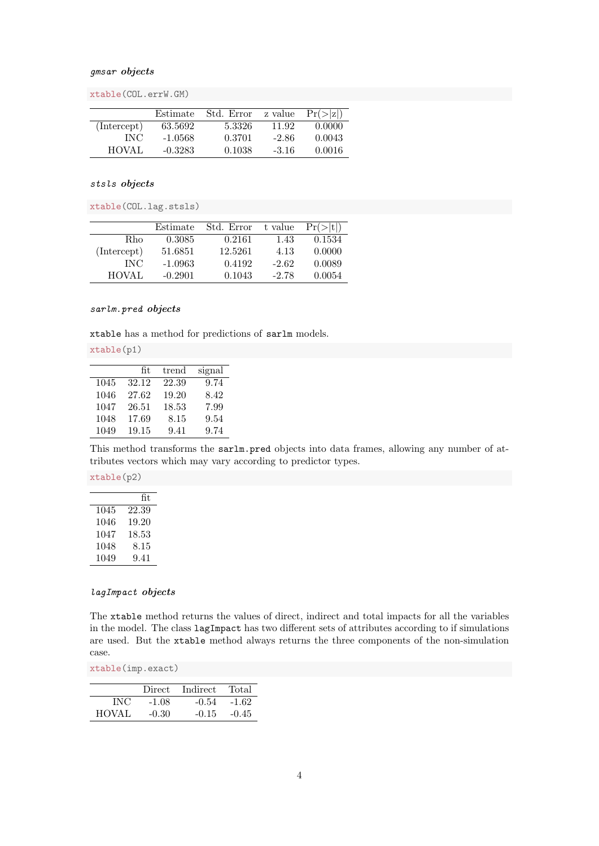#### gmsar objects

xtable(COL.errW.GM)

|              | Estimate  | Std. Error | z value | $Pr(>\vert z \vert)$ |
|--------------|-----------|------------|---------|----------------------|
| (Intercept)  | 63.5692   | 5.3326     | 11.92   | 0.0000               |
| INC.         | $-1.0568$ | 0.3701     | $-2.86$ | 0.0043               |
| <b>HOVAL</b> | $-0.3283$ | 0.1038     | $-3.16$ | 0.0016               |

#### stsls objects

xtable(COL.lag.stsls)

|              | Estimate  | Std. Error | t value | Pr(> t ) |
|--------------|-----------|------------|---------|----------|
| R.ho         | 0.3085    | 0.2161     | 1.43    | 0.1534   |
| (Intercept)  | 51.6851   | 12.5261    | 4.13    | 0.0000   |
| <b>INC</b>   | $-1.0963$ | 0.4192     | $-2.62$ | 0.0089   |
| <b>HOVAL</b> | $-0.2901$ | 0.1043     | -2.78   | 0.0054   |

#### sarlm.pred objects

xtable has a method for predictions of sarlm models.

xtable(p1)

|      | fit.  | trend | signal |
|------|-------|-------|--------|
| 1045 | 32.12 | 22.39 | 9.74   |
| 1046 | 27.62 | 19.20 | 8.42   |
| 1047 | 26.51 | 18.53 | 7.99   |
| 1048 | 17.69 | 8.15  | 9.54   |
| 1049 | 19.15 | 9.41  | 9.74   |

This method transforms the sarlm.pred objects into data frames, allowing any number of attributes vectors which may vary according to predictor types.

xtable(p2)

|      | fit   |
|------|-------|
| 1045 | 22.39 |
| 1046 | 19.20 |
| 1047 | 18.53 |
| 1048 | 8.15  |
| 1049 | 9.41  |

#### lagImpact objects

The xtable method returns the values of direct, indirect and total impacts for all the variables in the model. The class lagImpact has two different sets of attributes according to if simulations are used. But the xtable method always returns the three components of the non-simulation case.

xtable(imp.exact)

|            |         | Direct Indirect | Total   |
|------------|---------|-----------------|---------|
| <b>INC</b> | $-1.08$ | $-0.54$         | $-1.62$ |
| HOVAL      | $-0.30$ | $-0.15$         | $-0.45$ |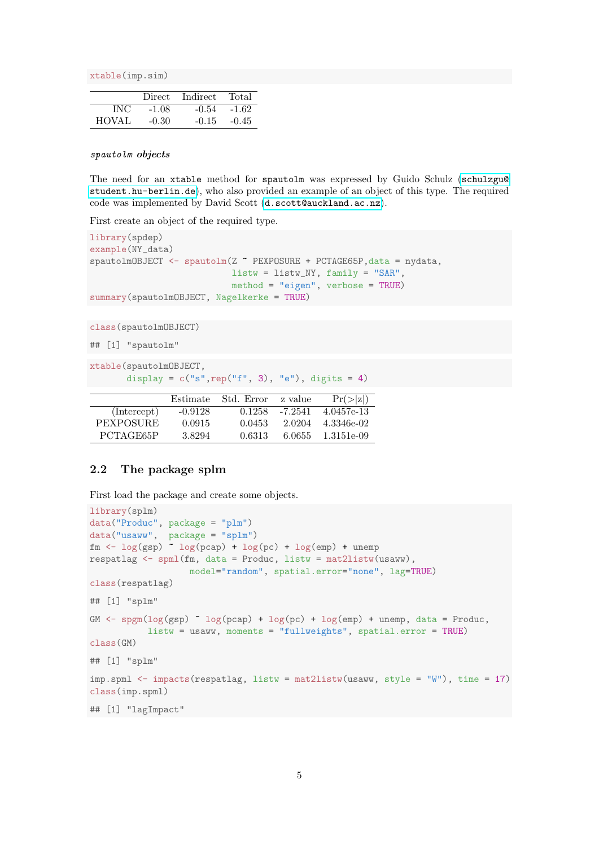xtable(imp.sim)

|              | Direct  | Indirect | Total   |
|--------------|---------|----------|---------|
| INC          | $-1.08$ | $-0.54$  | $-1.62$ |
| <b>HOVAL</b> | $-0.30$ | $-0.15$  | $-0.45$ |

#### spautolm objects

The need for an xtable method for spautolm was expressed by Guido Schulz ([schulzgu@](schulzgu@student.hu-berlin.de) [student.hu-berlin.de](schulzgu@student.hu-berlin.de)), who also provided an example of an object of this type. The required code was implemented by David Scott (<d.scott@auckland.ac.nz>).

First create an object of the required type.

```
library(spdep)
example(NY_data)
spautolmOBJECT <- spautolm(Z " PEXPOSURE + PCTAGE65P, data = nydata,
                           listw = listw_NY, family = "SAR",
                           method = "eigen", verbose = TRUE)
summary(spautolmOBJECT, Nagelkerke = TRUE)
```
class(spautolmOBJECT)

## [1] "spautolm"

```
xtable(spautolmOBJECT,
```

```
display = c("s", rep("f", 3), "e"), digits = 4)
```

|                  | Estimate  | Std. Error | z value | Pr(> z )   |
|------------------|-----------|------------|---------|------------|
| (Intercept)      | $-0.9128$ | 0.1258     | -7.2541 | 4.0457e-13 |
| <b>PEXPOSURE</b> | 0.0915    | 0.0453     | 2.0204  | 4.3346e-02 |
| PCTAGE65P        | 3.8294    | 0.6313     | 6 0655  | 1.3151e-09 |

#### <span id="page-4-0"></span>2.2 The package splm

First load the package and create some objects.

```
library(splm)
data("Produc", package = "plm")
data("usaww", package = "splm")
fm <- log(gsp) ~ log(pcap) + log(pc) + log(emp) + unemp
respatlag \leq spml(fm, data = Produc, listw = mat2listw(usaww),
                   model="random", spatial.error="none", lag=TRUE)
class(respatlag)
## [1] "splm"
GM \leftarrow spgm(log(gsp) \sim log(pcap) + log(pc) + log(emp) + unemp, data = Produc,
           listw = usaww, moments = "fullweights", spatial.error = TRUE)
class(GM)
## [1] "splm"
imp.spml <- impacts(respatlag, listw = mat2listw(usaww, style = "W"), time = 17)
class(imp.spml)
## [1] "lagImpact"
```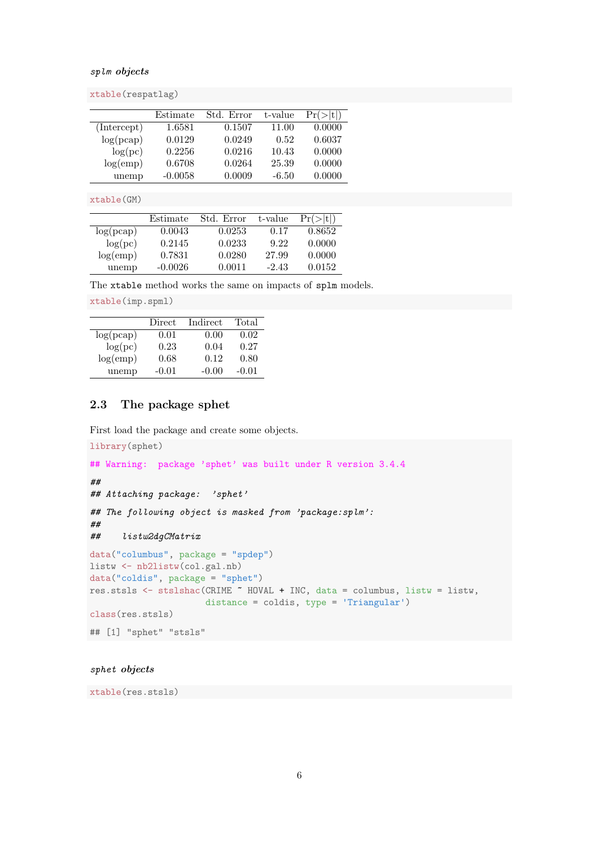#### splm objects

xtable(respatlag)

|             | Estimate  | Std. Error | t-value | Pr(> t ) |
|-------------|-----------|------------|---------|----------|
| (Intercept) | 1.6581    | 0.1507     | 11.00   | 0.0000   |
| log(pcap)   | 0.0129    | 0.0249     | 0.52    | 0.6037   |
| log(pc)     | 0.2256    | 0.0216     | 10.43   | 0.0000   |
| log(emp)    | 0.6708    | 0.0264     | 25.39   | 0.0000   |
| unemp       | $-0.0058$ | 0.0009     | $-6.50$ | 0.0000   |

xtable(GM)

|           | Estimate  | Std. Error | t-value | $Pr(>\vert t \vert)$ |
|-----------|-----------|------------|---------|----------------------|
| log(pcap) | 0.0043    | 0.0253     | 0.17    | 0.8652               |
| log(pc)   | 0.2145    | 0.0233     | 9.22    | 0.0000               |
| log(emp)  | 0.7831    | 0.0280     | 27.99   | 0.0000               |
| unemp     | $-0.0026$ | 0.0011     | $-2.43$ | 0.0152               |

The xtable method works the same on impacts of splm models.

xtable(imp.spml)

|           | Direct  | Indirect | Total   |
|-----------|---------|----------|---------|
| log(pcap) | 0.01    | 0.00     | 0.02    |
| log(pc)   | 0.23    | 0.04     | 0.27    |
| log(emp)  | 0.68    | 0.12     | 0.80    |
| unemp     | $-0.01$ | $-0.00$  | $-0.01$ |

### <span id="page-5-0"></span>2.3 The package sphet

First load the package and create some objects.

```
library(sphet)
## Warning: package 'sphet' was built under R version 3.4.4
##
## Attaching package: 'sphet'
## The following object is masked from 'package:splm':
##
## listw2dgCMatrix
data("columbus", package = "spdep")
listw <- nb2listw(col.gal.nb)
data("coldis", package = "sphet")
res.stsls <- stslshac(CRIME ~ HOVAL + INC, data = columbus, listw = listw,
                     distance = coldis, type = 'Triangular')
class(res.stsls)
## [1] "sphet" "stsls"
```
## sphet objects

xtable(res.stsls)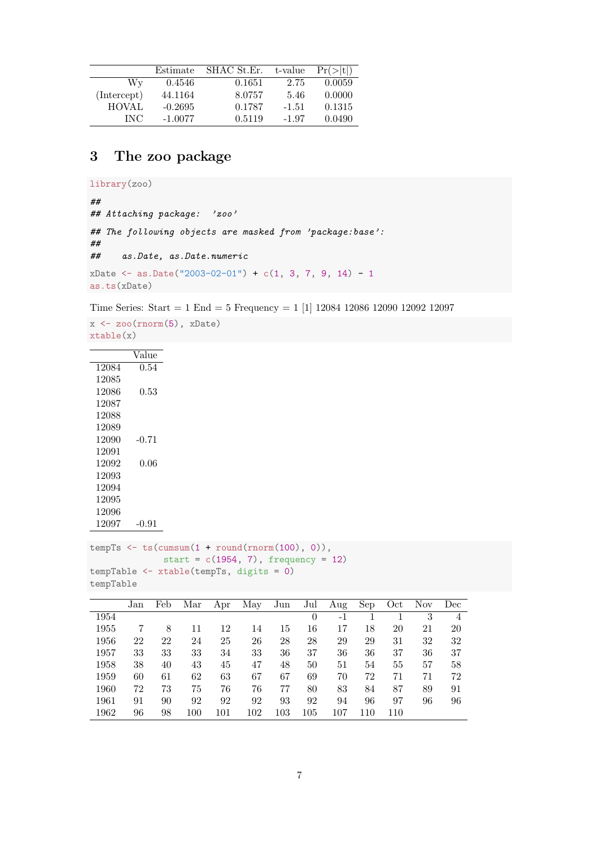|              | Estimate  | SHAC St.Er. | t-value | Pr(> t ) |
|--------------|-----------|-------------|---------|----------|
| Wv           | 0.4546    | 0.1651      | 2.75    | 0.0059   |
| (Intercept)  | 44.1164   | 8.0757      | 5.46    | 0.0000   |
| <b>HOVAL</b> | $-0.2695$ | 0.1787      | $-1.51$ | 0.1315   |
| INC.         | $-1.0077$ | 0.5119      | $-1.97$ | 0.0490   |

## <span id="page-6-0"></span>3 The zoo package

```
library(zoo)
##
## Attaching package: 'zoo'
## The following objects are masked from 'package:base':
##
## as.Date, as.Date.numeric
xDate \leftarrow as.DataFrame("2003-02-01") + c(1, 3, 7, 9, 14) - 1as.ts(xDate)
```
Time Series: Start = 1 End = 5 Frequency = 1 [1] 12084 12086 12090 12092 12097

```
x \leftarrow zoo(rnorm(5), xDate)xtable(x)
```

|       | Value |
|-------|-------|
| 12084 | 0.54  |
| 12085 |       |
| 12086 | 0.53  |
| 12087 |       |
| 12088 |       |
| 12089 |       |
| 12090 | -0.71 |
| 12091 |       |
| 12092 | 0.06  |
| 12093 |       |
| 12094 |       |
| 12095 |       |
| 12096 |       |
| 12097 | 0.91  |

```
tempTs <- ts(cumsum(1 + round(rnorm(100), 0)),
            start = c(1954, 7), frequency = 12)
tempTable <- xtable(tempTs, digits = 0)
tempTable
```

|      | Jan | Feb | Mar | Apr | May | Jun | Jul      | Aug | Sep | Oct | Nov | Dec            |
|------|-----|-----|-----|-----|-----|-----|----------|-----|-----|-----|-----|----------------|
| 1954 |     |     |     |     |     |     | $\theta$ | -1  |     |     | 3   | $\overline{4}$ |
| 1955 |     | 8   | 11  | 12  | 14  | 15  | 16       | 17  | 18  | 20  | 21  | 20             |
| 1956 | 22  | 22  | 24  | 25  | 26  | 28  | 28       | 29  | 29  | 31  | 32  | 32             |
| 1957 | 33  | 33  | 33  | 34  | 33  | 36  | 37       | 36  | 36  | 37  | 36  | 37             |
| 1958 | 38  | 40  | 43  | 45  | 47  | 48  | 50       | 51  | 54  | 55  | 57  | 58             |
| 1959 | 60  | 61  | 62  | 63  | 67  | 67  | 69       | 70  | 72  | 71  | 71  | 72             |
| 1960 | 72  | 73  | 75  | 76  | 76  | 77  | 80       | 83  | 84  | 87  | 89  | 91             |
| 1961 | 91  | 90  | 92  | 92  | 92  | 93  | 92       | 94  | 96  | 97  | 96  | 96             |
| 1962 | 96  | 98  | 100 | 101 | 102 | 103 | 105      | 107 | 110 | 110 |     |                |